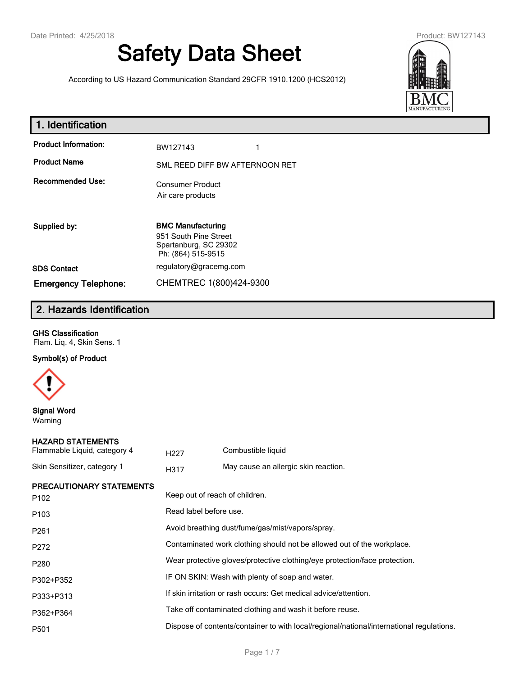# **Safety Data Sheet**

According to US Hazard Communication Standard 29CFR 1910.1200 (HCS2012)



| 1. Identification           |                                                                                                  |
|-----------------------------|--------------------------------------------------------------------------------------------------|
| <b>Product Information:</b> | BW127143                                                                                         |
| <b>Product Name</b>         | SML REED DIFF BW AFTERNOON RET                                                                   |
| <b>Recommended Use:</b>     | <b>Consumer Product</b><br>Air care products                                                     |
| Supplied by:                | <b>BMC Manufacturing</b><br>951 South Pine Street<br>Spartanburg, SC 29302<br>Ph: (864) 515-9515 |
| <b>SDS Contact</b>          | regulatory@gracemg.com                                                                           |

# **2. Hazards Identification**

**Emergency Telephone:** CHEMTREC 1(800)424-9300

#### **GHS Classification**

Flam. Liq. 4, Skin Sens. 1

## **Symbol(s) of Product**



**Signal Word** Warning

#### **HAZARD STATEMENTS**

| Flammable Liquid, category 4 | H <sub>22</sub> 7 | Combustible liquid                   |
|------------------------------|-------------------|--------------------------------------|
| Skin Sensitizer, category 1  | H317              | May cause an allergic skin reaction. |

## **PRECAUTIONARY STATEMENTS**

| <b>FREUAUTIONART STATEMENTS</b><br>P <sub>102</sub> | Keep out of reach of children.                                                           |
|-----------------------------------------------------|------------------------------------------------------------------------------------------|
| P <sub>103</sub>                                    | Read label before use.                                                                   |
| P <sub>261</sub>                                    | Avoid breathing dust/fume/gas/mist/vapors/spray.                                         |
| P272                                                | Contaminated work clothing should not be allowed out of the workplace.                   |
| P <sub>280</sub>                                    | Wear protective gloves/protective clothing/eye protection/face protection.               |
| P302+P352                                           | IF ON SKIN: Wash with plenty of soap and water.                                          |
| P333+P313                                           | If skin irritation or rash occurs: Get medical advice/attention.                         |
| P362+P364                                           | Take off contaminated clothing and wash it before reuse.                                 |
| P <sub>501</sub>                                    | Dispose of contents/container to with local/regional/national/international regulations. |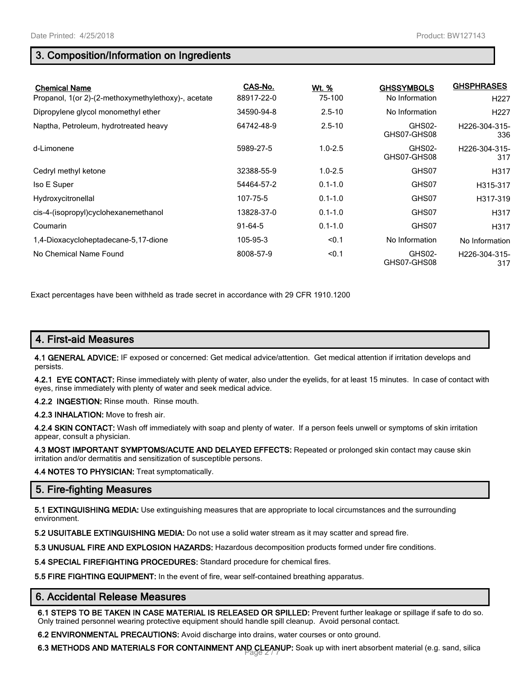# **3. Composition/Information on Ingredients**

| <b>Chemical Name</b><br>Propanol, 1(or 2)-(2-methoxymethylethoxy)-, acetate | CAS-No.<br>88917-22-0 | Wt. %<br>75-100 | <b>GHSSYMBOLS</b><br>No Information | <b>GHSPHRASES</b><br>H <sub>227</sub> |
|-----------------------------------------------------------------------------|-----------------------|-----------------|-------------------------------------|---------------------------------------|
| Dipropylene glycol monomethyl ether                                         | 34590-94-8            | $2.5 - 10$      | No Information                      | H <sub>227</sub>                      |
| Naptha, Petroleum, hydrotreated heavy                                       | 64742-48-9            | $2.5 - 10$      | GHS02-<br>GHS07-GHS08               | H <sub>226</sub> -304-315-<br>336     |
| d-Limonene                                                                  | 5989-27-5             | $1.0 - 2.5$     | GHS02-<br>GHS07-GHS08               | H226-304-315-<br>317                  |
| Cedryl methyl ketone                                                        | 32388-55-9            | $1.0 - 2.5$     | GHS07                               | H317                                  |
| Iso E Super                                                                 | 54464-57-2            | $0.1 - 1.0$     | GHS07                               | H315-317                              |
| Hydroxycitronellal                                                          | 107-75-5              | $0.1 - 1.0$     | GHS07                               | H317-319                              |
| cis-4-(isopropyl)cyclohexanemethanol                                        | 13828-37-0            | $0.1 - 1.0$     | GHS07                               | H317                                  |
| Coumarin                                                                    | $91-64-5$             | $0.1 - 1.0$     | GHS07                               | H317                                  |
| 1,4-Dioxacycloheptadecane-5,17-dione                                        | 105-95-3              | < 0.1           | No Information                      | No Information                        |
| No Chemical Name Found                                                      | 8008-57-9             | < 0.1           | GHS02-<br>GHS07-GHS08               | H226-304-315-<br>317                  |

Exact percentages have been withheld as trade secret in accordance with 29 CFR 1910.1200

# **4. First-aid Measures**

**4.1 GENERAL ADVICE:** IF exposed or concerned: Get medical advice/attention. Get medical attention if irritation develops and persists.

**4.2.1 EYE CONTACT:** Rinse immediately with plenty of water, also under the eyelids, for at least 15 minutes. In case of contact with eyes, rinse immediately with plenty of water and seek medical advice.

**4.2.2 INGESTION:** Rinse mouth. Rinse mouth.

**4.2.3 INHALATION:** Move to fresh air.

**4.2.4 SKIN CONTACT:** Wash off immediately with soap and plenty of water. If a person feels unwell or symptoms of skin irritation appear, consult a physician.

**4.3 MOST IMPORTANT SYMPTOMS/ACUTE AND DELAYED EFFECTS:** Repeated or prolonged skin contact may cause skin irritation and/or dermatitis and sensitization of susceptible persons.

**4.4 NOTES TO PHYSICIAN:** Treat symptomatically.

# **5. Fire-fighting Measures**

**5.1 EXTINGUISHING MEDIA:** Use extinguishing measures that are appropriate to local circumstances and the surrounding environment.

**5.2 USUITABLE EXTINGUISHING MEDIA:** Do not use a solid water stream as it may scatter and spread fire.

**5.3 UNUSUAL FIRE AND EXPLOSION HAZARDS:** Hazardous decomposition products formed under fire conditions.

**5.4 SPECIAL FIREFIGHTING PROCEDURES:** Standard procedure for chemical fires.

**5.5 FIRE FIGHTING EQUIPMENT:** In the event of fire, wear self-contained breathing apparatus.

#### **6. Accidental Release Measures**

**6.1 STEPS TO BE TAKEN IN CASE MATERIAL IS RELEASED OR SPILLED:** Prevent further leakage or spillage if safe to do so. Only trained personnel wearing protective equipment should handle spill cleanup. Avoid personal contact.

**6.2 ENVIRONMENTAL PRECAUTIONS:** Avoid discharge into drains, water courses or onto ground.

6.3 METHODS AND MATERIALS FOR CONTAINMENT AND CLEANUP: Soak up with inert absorbent material (e.g. sand, silica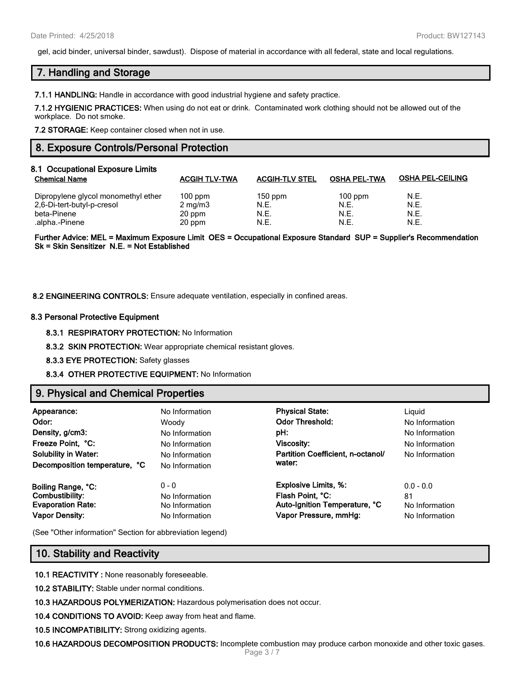gel, acid binder, universal binder, sawdust). Dispose of material in accordance with all federal, state and local regulations.

## **7. Handling and Storage**

**7.1.1 HANDLING:** Handle in accordance with good industrial hygiene and safety practice.

**7.1.2 HYGIENIC PRACTICES:** When using do not eat or drink. Contaminated work clothing should not be allowed out of the workplace. Do not smoke.

**7.2 STORAGE:** Keep container closed when not in use.

## **8. Exposure Controls/Personal Protection**

| 8.1 Occupational Exposure Limits<br><b>Chemical Name</b> | <b>ACGIH TLV-TWA</b> | <b>ACGIH-TLV STEL</b> | <b>OSHA PEL-TWA</b> | <b>OSHA PEL-CEILING</b> |
|----------------------------------------------------------|----------------------|-----------------------|---------------------|-------------------------|
| Dipropylene glycol monomethyl ether                      | $100$ ppm            | $150$ ppm             | $100$ ppm           | N.E.                    |
| 2,6-Di-tert-butyl-p-cresol                               | $2 \text{ mg/m}$     | N.E.                  | N.E.                | N.E.                    |
| beta-Pinene                                              | 20 ppm               | N.E.                  | N.E.                | N.E.                    |
| .alpha.-Pinene                                           | 20 ppm               | N.E.                  | N.E.                | N.E.                    |

**Further Advice: MEL = Maximum Exposure Limit OES = Occupational Exposure Standard SUP = Supplier's Recommendation Sk = Skin Sensitizer N.E. = Not Established**

#### **8.2 ENGINEERING CONTROLS:** Ensure adequate ventilation, especially in confined areas.

#### **8.3 Personal Protective Equipment**

**8.3.1 RESPIRATORY PROTECTION:** No Information

**8.3.2 SKIN PROTECTION:** Wear appropriate chemical resistant gloves.

**8.3.3 EYE PROTECTION:** Safety glasses

**8.3.4 OTHER PROTECTIVE EQUIPMENT:** No Information

## **9. Physical and Chemical Properties**

| Appearance:<br>Odor:<br>Density, g/cm3:<br>Freeze Point, °C:<br><b>Solubility in Water:</b><br>Decomposition temperature, °C | No Information<br>Woodv<br>No Information<br>No Information<br>No Information<br>No Information | <b>Physical State:</b><br><b>Odor Threshold:</b><br>pH:<br><b>Viscosity:</b><br>Partition Coefficient, n-octanol/<br>water: | Liguid<br>No Information<br>No Information<br>No Information<br>No Information |
|------------------------------------------------------------------------------------------------------------------------------|-------------------------------------------------------------------------------------------------|-----------------------------------------------------------------------------------------------------------------------------|--------------------------------------------------------------------------------|
| Boiling Range, °C:                                                                                                           | $0 - 0$                                                                                         | <b>Explosive Limits, %:</b>                                                                                                 | $0.0 - 0.0$                                                                    |
| Combustibility:                                                                                                              | No Information                                                                                  | Flash Point, °C:                                                                                                            | 81                                                                             |
| <b>Evaporation Rate:</b>                                                                                                     | No Information                                                                                  | Auto-Ignition Temperature, °C                                                                                               | No Information                                                                 |
| <b>Vapor Density:</b>                                                                                                        | No Information                                                                                  | Vapor Pressure, mmHg:                                                                                                       | No Information                                                                 |

(See "Other information" Section for abbreviation legend)

#### **10. Stability and Reactivity**

**10.1 REACTIVITY :** None reasonably foreseeable.

**10.2 STABILITY:** Stable under normal conditions.

**10.3 HAZARDOUS POLYMERIZATION:** Hazardous polymerisation does not occur.

**10.4 CONDITIONS TO AVOID:** Keep away from heat and flame.

**10.5 INCOMPATIBILITY:** Strong oxidizing agents.

**10.6 HAZARDOUS DECOMPOSITION PRODUCTS:** Incomplete combustion may produce carbon monoxide and other toxic gases.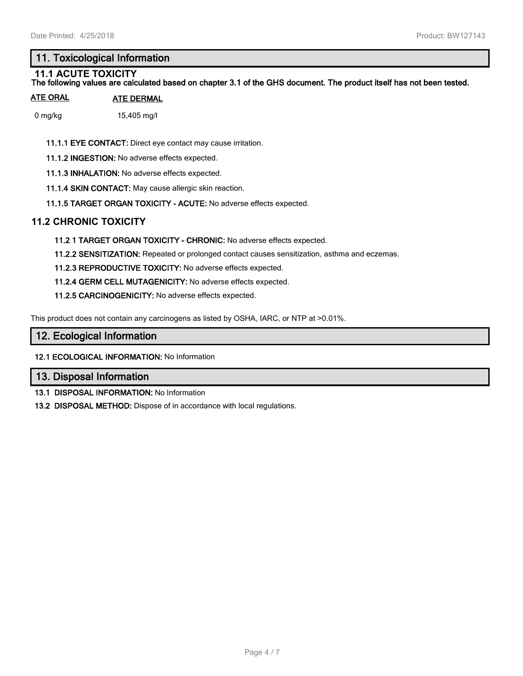# **11. Toxicological Information**

#### **11.1 ACUTE TOXICITY The following values are calculated based on chapter 3.1 of the GHS document. The product itself has not been tested.**

## **ATE ORAL ATE DERMAL**

0 mg/kg 15,405 mg/l

**11.1.1 EYE CONTACT:** Direct eye contact may cause irritation.

**11.1.2 INGESTION:** No adverse effects expected.

**11.1.3 INHALATION:** No adverse effects expected.

**11.1.4 SKIN CONTACT:** May cause allergic skin reaction.

**11.1.5 TARGET ORGAN TOXICITY - ACUTE:** No adverse effects expected.

## **11.2 CHRONIC TOXICITY**

**11.2 1 TARGET ORGAN TOXICITY - CHRONIC:** No adverse effects expected.

**11.2.2 SENSITIZATION:** Repeated or prolonged contact causes sensitization, asthma and eczemas.

**11.2.3 REPRODUCTIVE TOXICITY:** No adverse effects expected.

**11.2.4 GERM CELL MUTAGENICITY:** No adverse effects expected.

**11.2.5 CARCINOGENICITY:** No adverse effects expected.

This product does not contain any carcinogens as listed by OSHA, IARC, or NTP at >0.01%.

## **12. Ecological Information**

**12.1 ECOLOGICAL INFORMATION:** No Information

## **13. Disposal Information**

**13.1 DISPOSAL INFORMATION:** No Information

**13.2 DISPOSAL METHOD:** Dispose of in accordance with local regulations.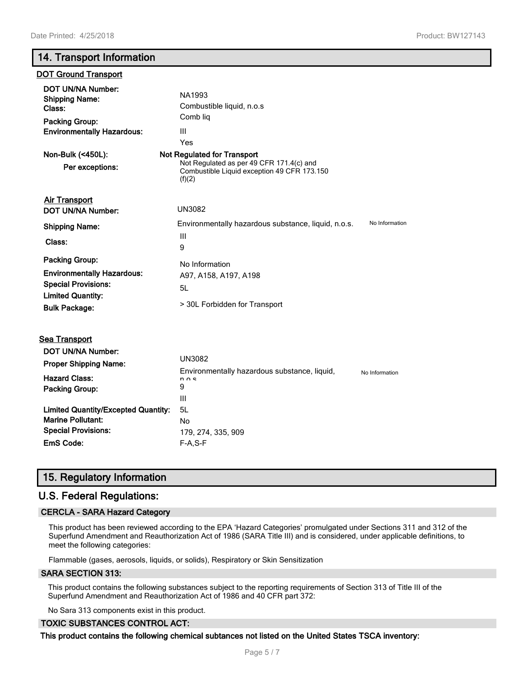# **14. Transport Information**

#### **DOT Ground Transport**

| <b>DOT UN/NA Number:</b><br><b>Shipping Name:</b><br>Class:<br><b>Packing Group:</b><br><b>Environmentally Hazardous:</b> | NA1993<br>Combustible liquid, n.o.s<br>Comb liq<br>Ш<br>Yes                                       |                |
|---------------------------------------------------------------------------------------------------------------------------|---------------------------------------------------------------------------------------------------|----------------|
| Non-Bulk (<450L):                                                                                                         | Not Regulated for Transport                                                                       |                |
| Per exceptions:                                                                                                           | Not Regulated as per 49 CFR 171.4(c) and<br>Combustible Liquid exception 49 CFR 173.150<br>(f)(2) |                |
| <b>Air Transport</b>                                                                                                      |                                                                                                   |                |
| DOT UN/NA Number:                                                                                                         | <b>UN3082</b>                                                                                     |                |
| <b>Shipping Name:</b>                                                                                                     | Environmentally hazardous substance, liquid, n.o.s.                                               | No Information |
| Class:                                                                                                                    | Ш<br>9                                                                                            |                |
| <b>Packing Group:</b>                                                                                                     | No Information                                                                                    |                |
| <b>Environmentally Hazardous:</b>                                                                                         | A97, A158, A197, A198                                                                             |                |
| <b>Special Provisions:</b>                                                                                                | 5L                                                                                                |                |
| <b>Limited Quantity:</b><br><b>Bulk Package:</b>                                                                          | > 30L Forbidden for Transport                                                                     |                |
|                                                                                                                           |                                                                                                   |                |

| DOT UN/NA Number:<br><b>Proper Shipping Name:</b> | UN3082                                                            |                |  |  |
|---------------------------------------------------|-------------------------------------------------------------------|----------------|--|--|
| <b>Hazard Class:</b><br><b>Packing Group:</b>     | Environmentally hazardous substance, liquid,<br>$n \wedge c$<br>9 | No Information |  |  |
|                                                   | Ш                                                                 |                |  |  |
| <b>Limited Quantity/Excepted Quantity:</b>        | 5L                                                                |                |  |  |
| <b>Marine Pollutant:</b>                          | No                                                                |                |  |  |
| <b>Special Provisions:</b>                        | 179, 274, 335, 909                                                |                |  |  |
| EmS Code:                                         | $F-A.S-F$                                                         |                |  |  |

# **15. Regulatory Information**

## **U.S. Federal Regulations:**

#### **CERCLA - SARA Hazard Category**

This product has been reviewed according to the EPA 'Hazard Categories' promulgated under Sections 311 and 312 of the Superfund Amendment and Reauthorization Act of 1986 (SARA Title III) and is considered, under applicable definitions, to meet the following categories:

Flammable (gases, aerosols, liquids, or solids), Respiratory or Skin Sensitization

#### **SARA SECTION 313:**

**Sea Transport**

This product contains the following substances subject to the reporting requirements of Section 313 of Title III of the Superfund Amendment and Reauthorization Act of 1986 and 40 CFR part 372:

No Sara 313 components exist in this product.

#### **TOXIC SUBSTANCES CONTROL ACT:**

**This product contains the following chemical subtances not listed on the United States TSCA inventory:**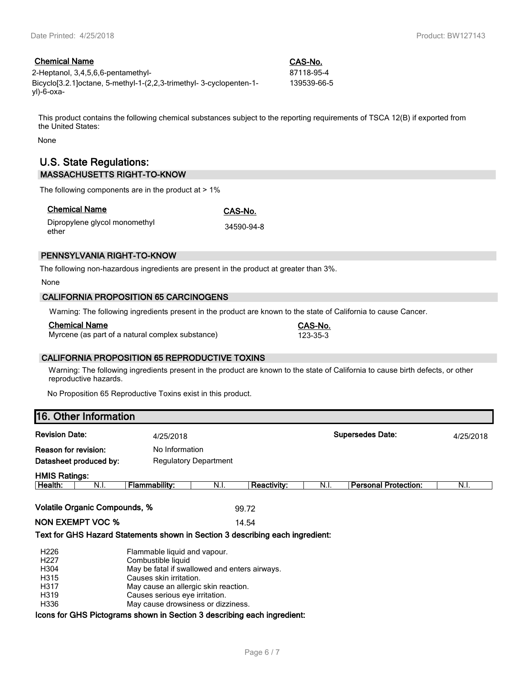## **Chemical Name CAS-No.**

2-Heptanol, 3,4,5,6,6-pentamethyl- 87118-95-4 Bicyclo[3.2.1]octane, 5-methyl-1-(2,2,3-trimethyl- 3-cyclopenten-1 yl)-6-oxa-

139539-66-5

This product contains the following chemical substances subject to the reporting requirements of TSCA 12(B) if exported from the United States:

None

## **U.S. State Regulations: MASSACHUSETTS RIGHT-TO-KNOW**

The following components are in the product at  $> 1\%$ 

| <b>Chemical Name</b> |  |
|----------------------|--|
|                      |  |

**Chemical Name CAS-No.**

Dipropylene glycol monomethyl ether 34590-94-8

## **PENNSYLVANIA RIGHT-TO-KNOW**

The following non-hazardous ingredients are present in the product at greater than 3%.

None

#### **CALIFORNIA PROPOSITION 65 CARCINOGENS**

Warning: The following ingredients present in the product are known to the state of California to cause Cancer.

#### **Chemical Name CAS-No.**

Myrcene (as part of a natural complex substance) 123-35-3

#### **CALIFORNIA PROPOSITION 65 REPRODUCTIVE TOXINS**

Warning: The following ingredients present in the product are known to the state of California to cause birth defects, or other reproductive hazards.

No Proposition 65 Reproductive Toxins exist in this product.

# **16. Other Information**

| <b>Revision Date:</b>                                                        |      | 4/25/2018                                                                                                                                                                                                                                      |      |                    | <b>Supersedes Date:</b> |                             | 4/25/2018 |
|------------------------------------------------------------------------------|------|------------------------------------------------------------------------------------------------------------------------------------------------------------------------------------------------------------------------------------------------|------|--------------------|-------------------------|-----------------------------|-----------|
| Reason for revision:                                                         |      | No Information                                                                                                                                                                                                                                 |      |                    |                         |                             |           |
| Datasheet produced by:                                                       |      | <b>Regulatory Department</b>                                                                                                                                                                                                                   |      |                    |                         |                             |           |
| <b>HMIS Ratings:</b>                                                         |      |                                                                                                                                                                                                                                                |      |                    |                         |                             |           |
| Health:                                                                      | N.I. | <b>Flammability:</b>                                                                                                                                                                                                                           | N.I. | <b>Reactivity:</b> | N.I.                    | <b>Personal Protection:</b> | N.I.      |
| <b>Volatile Organic Compounds, %</b><br><b>NON EXEMPT VOC %</b>              |      | Text for GHS Hazard Statements shown in Section 3 describing each ingredient:                                                                                                                                                                  |      | 99.72<br>14.54     |                         |                             |           |
| H <sub>226</sub><br>H <sub>227</sub><br>H304<br>H315<br>H317<br>H319<br>H336 |      | Flammable liquid and vapour.<br>Combustible liquid<br>May be fatal if swallowed and enters airways.<br>Causes skin irritation.<br>May cause an allergic skin reaction.<br>Causes serious eye irritation.<br>May cause drowsiness or dizziness. |      |                    |                         |                             |           |

#### **Icons for GHS Pictograms shown in Section 3 describing each ingredient:**